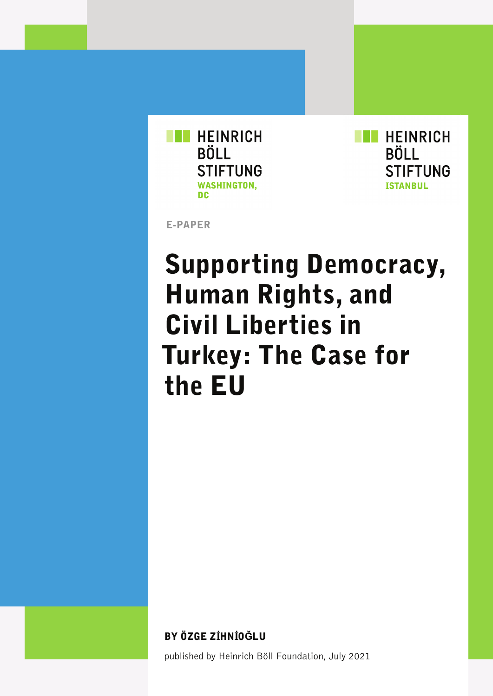

**HEINRICH BÖLL STIFTUNG ISTANBUL** 

E-PAPER

## Supporting Democracy, Human Rights, and Civil Liberties in Turkey: The Case for the EU

BY ÖZGE ZİHNİ0ĞLU

published by Heinrich Böll Foundation, July 2021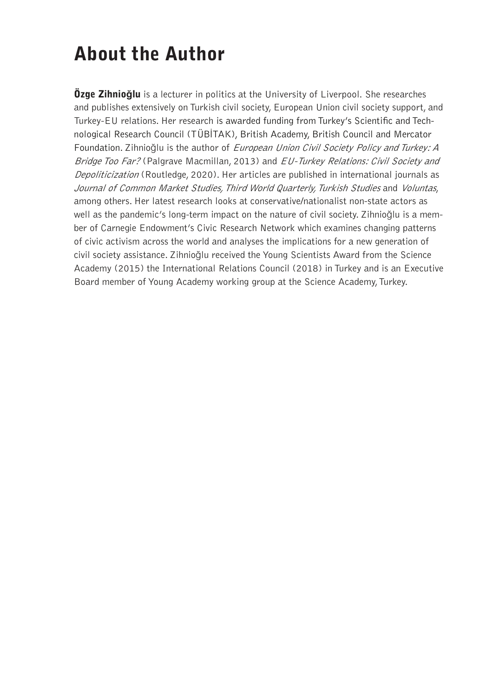## About the Author

Özge Zihnio**ğ**lu is a lecturer in politics at the University of Liverpool. She researches and publishes extensively on Turkish civil society, European Union civil society support, and Turkey-EU relations. Her research is awarded funding from Turkey's Scientific and Technological Research Council (TÜBİTAK), British Academy, British Council and Mercator Foundation. Zihnioğlu is the author of European Union Civil Society Policy and Turkey: A Bridge Too Far? (Palgrave Macmillan, 2013) and EU-Turkey Relations: Civil Society and Depoliticization (Routledge, 2020). Her articles are published in international journals as Journal of Common Market Studies, Third World Quarterly, Turkish Studies and Voluntas, among others. Her latest research looks at conservative/nationalist non-state actors as well as the pandemic's long-term impact on the nature of civil society. Zihnioğlu is a member of Carnegie Endowment's Civic Research Network which examines changing patterns of civic activism across the world and analyses the implications for a new generation of civil society assistance. Zihnioğlu received the Young Scientists Award from the Science Academy (2015) the International Relations Council (2018) in Turkey and is an Executive Board member of Young Academy working group at the Science Academy, Turkey.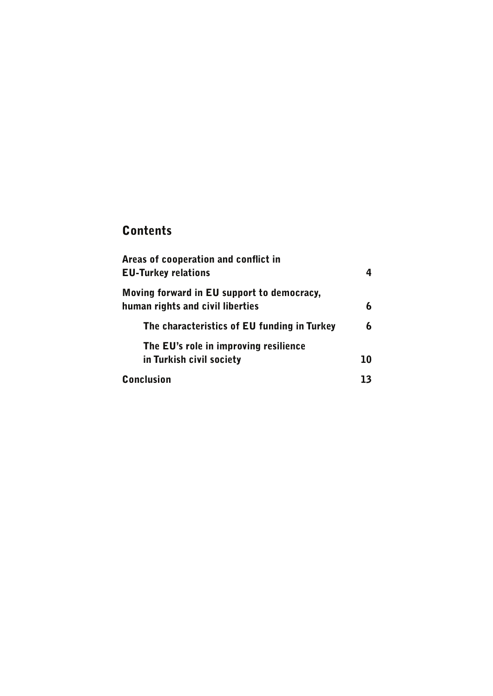#### **Contents**

| Areas of cooperation and conflict in        |    |
|---------------------------------------------|----|
| <b>EU-Turkey relations</b>                  |    |
| Moving forward in EU support to democracy,  |    |
| human rights and civil liberties            | 6  |
| The characteristics of EU funding in Turkey |    |
| The EU's role in improving resilience       |    |
| in Turkish civil society                    | 10 |
| <b>Conclusion</b>                           | 13 |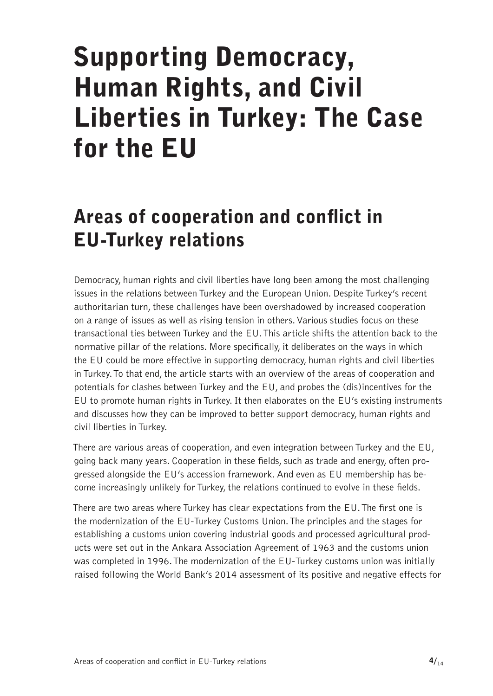# <span id="page-3-0"></span>Supporting Democracy, Human Rights, and Civil Liberties in Turkey: The Case for the EU

## Areas of cooperation and conflict in EU-Turkey relations

Democracy, human rights and civil liberties have long been among the most challenging issues in the relations between Turkey and the European Union. Despite Turkey's recent authoritarian turn, these challenges have been overshadowed by increased cooperation on a range of issues as well as rising tension in others. Various studies focus on these transactional ties between Turkey and the EU. This article shifts the attention back to the normative pillar of the relations. More specifically, it deliberates on the ways in which the EU could be more effective in supporting democracy, human rights and civil liberties in Turkey. To that end, the article starts with an overview of the areas of cooperation and potentials for clashes between Turkey and the EU, and probes the (dis)incentives for the EU to promote human rights in Turkey. It then elaborates on the EU's existing instruments and discusses how they can be improved to better support democracy, human rights and civil liberties in Turkey.

There are various areas of cooperation, and even integration between Turkey and the EU, going back many years. Cooperation in these fields, such as trade and energy, often progressed alongside the EU's accession framework. And even as EU membership has become increasingly unlikely for Turkey, the relations continued to evolve in these fields.

There are two areas where Turkey has clear expectations from the EU. The first one is the modernization of the EU-Turkey Customs Union. The principles and the stages for establishing a customs union covering industrial goods and processed agricultural products were set out in the Ankara Association Agreement of 1963 and the customs union was completed in 1996. The modernization of the EU-Turkey customs union was initially raised following the World Bank's 2014 assessment of its positive and negative effects for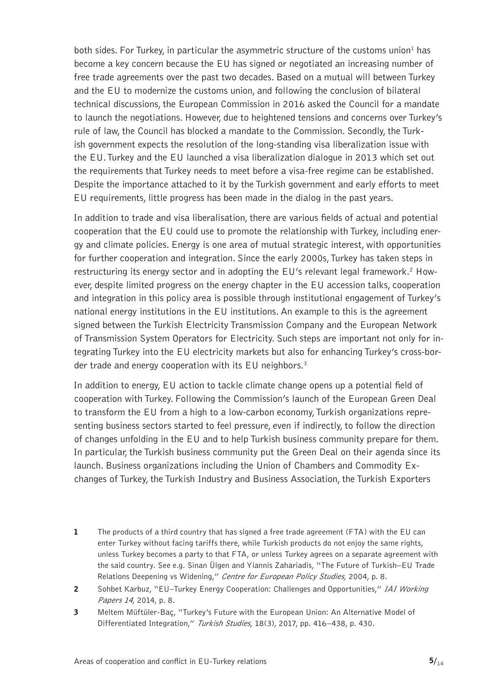both sides. For Turkey, in particular the asymmetric structure of the customs union<sup>1</sup> has become a key concern because the EU has signed or negotiated an increasing number of free trade agreements over the past two decades. Based on a mutual will between Turkey and the EU to modernize the customs union, and following the conclusion of bilateral technical discussions, the European Commission in 2016 asked the Council for a mandate to launch the negotiations. However, due to heightened tensions and concerns over Turkey's rule of law, the Council has blocked a mandate to the Commission. Secondly, the Turkish government expects the resolution of the long-standing visa liberalization issue with the EU. Turkey and the EU launched a visa liberalization dialogue in 2013 which set out the requirements that Turkey needs to meet before a visa-free regime can be established. Despite the importance attached to it by the Turkish government and early efforts to meet EU requirements, little progress has been made in the dialog in the past years.

In addition to trade and visa liberalisation, there are various fields of actual and potential cooperation that the EU could use to promote the relationship with Turkey, including energy and climate policies. Energy is one area of mutual strategic interest, with opportunities for further cooperation and integration. Since the early 2000s, Turkey has taken steps in restructuring its energy sector and in adopting the EU's relevant legal framework.<sup>2</sup> However, despite limited progress on the energy chapter in the EU accession talks, cooperation and integration in this policy area is possible through institutional engagement of Turkey's national energy institutions in the EU institutions. An example to this is the agreement signed between the Turkish Electricity Transmission Company and the European Network of Transmission System Operators for Electricity. Such steps are important not only for integrating Turkey into the EU electricity markets but also for enhancing Turkey's cross-border trade and energy cooperation with its EU neighbors.<sup>3</sup>

In addition to energy, EU action to tackle climate change opens up a potential field of cooperation with Turkey. Following the Commission's launch of the European Green Deal to transform the EU from a high to a low-carbon economy, Turkish organizations representing business sectors started to feel pressure, even if indirectly, to follow the direction of changes unfolding in the EU and to help Turkish business community prepare for them. In particular, the Turkish business community put the Green Deal on their agenda since its launch. Business organizations including the Union of Chambers and Commodity Exchanges of Turkey, the Turkish Industry and Business Association, the Turkish Exporters

- 1 The products of a third country that has signed a free trade agreement (FTA) with the EU can enter Turkey without facing tariffs there, while Turkish products do not enjoy the same rights, unless Turkey becomes a party to that FTA, or unless Turkey agrees on a separate agreement with the said country. See e.g. Sinan Ülgen and Yiannis Zahariadis, "The Future of Turkish–EU Trade Relations Deepening vs Widening," Centre for European Policy Studies, 2004, p. 8.
- 2 Sohbet Karbuz, "EU–Turkey Energy Cooperation: Challenges and Opportunities," IAI Working Papers 14, 2014, p. 8.
- 3 Meltem Müftüler-Baç, "Turkey's Future with the European Union: An Alternative Model of Differentiated Integration," Turkish Studies, 18(3), 2017, pp. 416-438, p. 430.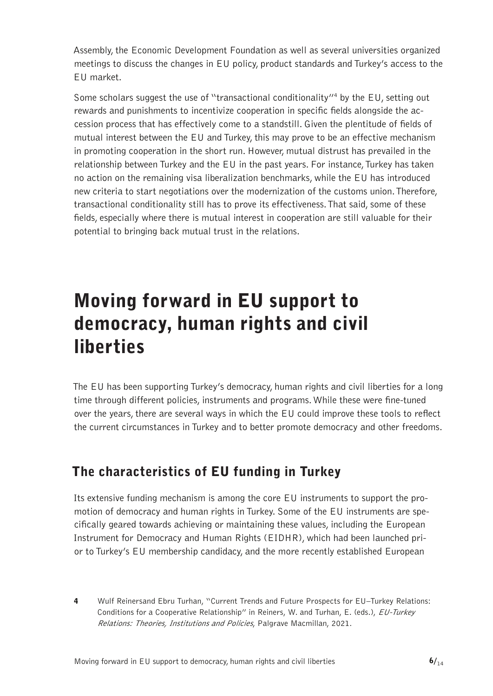<span id="page-5-0"></span>Assembly, the Economic Development Foundation as well as several universities organized meetings to discuss the changes in EU policy, product standards and Turkey's access to the EU market.

Some scholars suggest the use of "transactional conditionality"<sup>4</sup> by the EU, setting out rewards and punishments to incentivize cooperation in specific fields alongside the accession process that has effectively come to a standstill. Given the plentitude of fields of mutual interest between the EU and Turkey, this may prove to be an effective mechanism in promoting cooperation in the short run. However, mutual distrust has prevailed in the relationship between Turkey and the EU in the past years. For instance, Turkey has taken no action on the remaining visa liberalization benchmarks, while the EU has introduced new criteria to start negotiations over the modernization of the customs union. Therefore, transactional conditionality still has to prove its effectiveness. That said, some of these fields, especially where there is mutual interest in cooperation are still valuable for their potential to bringing back mutual trust in the relations.

### Moving forward in EU support to democracy, human rights and civil liberties

The EU has been supporting Turkey's democracy, human rights and civil liberties for a long time through different policies, instruments and programs. While these were fine-tuned over the years, there are several ways in which the EU could improve these tools to reflect the current circumstances in Turkey and to better promote democracy and other freedoms.

#### The characteristics of EU funding in Turkey

Its extensive funding mechanism is among the core EU instruments to support the promotion of democracy and human rights in Turkey. Some of the EU instruments are specifically geared towards achieving or maintaining these values, including the European Instrument for Democracy and Human Rights (EIDHR), which had been launched prior to Turkey's EU membership candidacy, and the more recently established European

4 Wulf Reinersand Ebru Turhan, "Current Trends and Future Prospects for EU–Turkey Relations: Conditions for a Cooperative Relationship" in Reiners, W. and Turhan, E. (eds.), EU-Turkey Relations: Theories, Institutions and Policies, Palgrave Macmillan, 2021.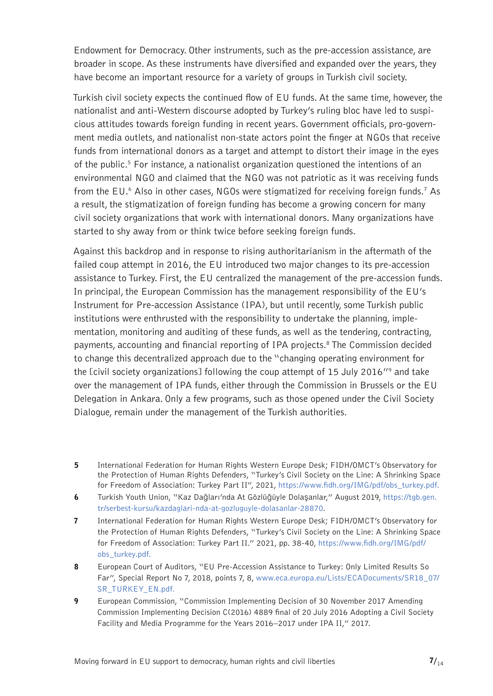Endowment for Democracy. Other instruments, such as the pre-accession assistance, are broader in scope. As these instruments have diversified and expanded over the years, they have become an important resource for a variety of groups in Turkish civil society.

Turkish civil society expects the continued flow of EU funds. At the same time, however, the nationalist and anti-Western discourse adopted by Turkey's ruling bloc have led to suspicious attitudes towards foreign funding in recent years. Government officials, pro-government media outlets, and nationalist non-state actors point the finger at NGOs that receive funds from international donors as a target and attempt to distort their image in the eyes of the public.<sup>5</sup> For instance, a nationalist organization questioned the intentions of an environmental NGO and claimed that the NGO was not patriotic as it was receiving funds from the EU.6 Also in other cases, NGOs were stigmatized for receiving foreign funds.<sup>7</sup> As a result, the stigmatization of foreign funding has become a growing concern for many civil society organizations that work with international donors. Many organizations have started to shy away from or think twice before seeking foreign funds.

Against this backdrop and in response to rising authoritarianism in the aftermath of the failed coup attempt in 2016, the EU introduced two major changes to its pre-accession assistance to Turkey. First, the EU centralized the management of the pre-accession funds. In principal, the European Commission has the management responsibility of the EU's Instrument for Pre-accession Assistance (IPA), but until recently, some Turkish public institutions were enthrusted with the responsibility to undertake the planning, implementation, monitoring and auditing of these funds, as well as the tendering, contracting, payments, accounting and financial reporting of IPA projects.<sup>8</sup> The Commission decided to change this decentralized approach due to the "changing operating environment for the [civil society organizations] following the coup attempt of 15 July 2016"<sup>9</sup> and take over the management of IPA funds, either through the Commission in Brussels or the EU Delegation in Ankara. Only a few programs, such as those opened under the Civil Society Dialogue, remain under the management of the Turkish authorities.

- 5 International Federation for Human Rights Western Europe Desk; FIDH/OMCT's Observatory for the Protection of Human Rights Defenders, "Turkey's Civil Society on the Line: A Shrinking Space for Freedom of Association: Turkey Part II", 2021, [https://www.fidh.org/IMG/pdf/obs\\_turkey.pdf.](https://www.fidh.org/IMG/pdf/obs_turkey.pdf)
- 6 Turkish Youth Union, "Kaz Dağları'nda At Gözlüğüyle Dolaşanlar," August 2019, https://tgb.gen. tr/serbest-kursu/kazdaglari-nda-at-gozluguyle-dolasanlar-28870.
- 7 International Federation for Human Rights Western Europe Desk; FIDH/OMCT's Observatory for the Protection of Human Rights Defenders, "Turkey's Civil Society on the Line: A Shrinking Space for Freedom of Association: Turkey Part II." 2021, pp. 38-40, [https://www.fidh.org/IMG/pdf/](https://www.fidh.org/IMG/pdf/obs_turkey.pdf) [obs\\_turkey.pdf.](https://www.fidh.org/IMG/pdf/obs_turkey.pdf)
- 8 European Court of Auditors, "EU Pre-Accession Assistance to Turkey: Only Limited Results So Far", Special Report No 7, 2018, points 7, 8, [www.eca.europa.eu/Lists/ECADocuments/SR18\\_07/](http://www.eca.europa.eu/Lists/ECADocuments/SR18_07/SR_TURKEY_EN.pdf) [SR\\_TURKEY\\_EN.pdf](http://www.eca.europa.eu/Lists/ECADocuments/SR18_07/SR_TURKEY_EN.pdf).
- 9 European Commission, "Commission Implementing Decision of 30 November 2017 Amending Commission Implementing Decision C(2016) 4889 final of 20 July 2016 Adopting a Civil Society Facility and Media Programme for the Years 2016–2017 under IPA II," 2017.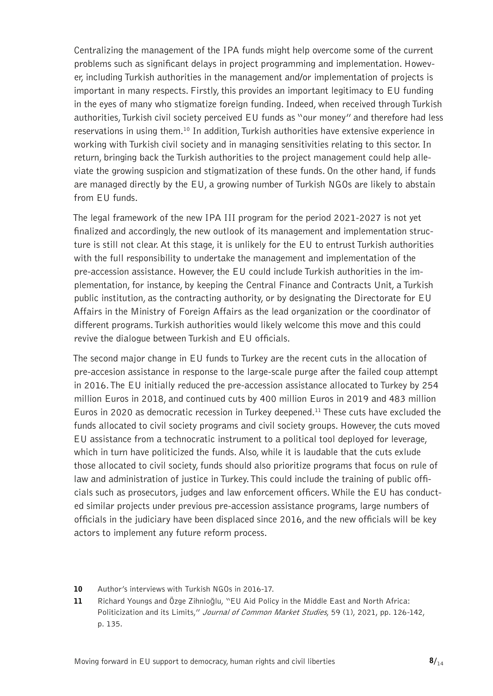Centralizing the management of the IPA funds might help overcome some of the current problems such as significant delays in project programming and implementation. However, including Turkish authorities in the management and/or implementation of projects is important in many respects. Firstly, this provides an important legitimacy to EU funding in the eyes of many who stigmatize foreign funding. Indeed, when received through Turkish authorities, Turkish civil society perceived EU funds as "our money" and therefore had less reservations in using them.<sup>10</sup> In addition, Turkish authorities have extensive experience in working with Turkish civil society and in managing sensitivities relating to this sector. In return, bringing back the Turkish authorities to the project management could help alleviate the growing suspicion and stigmatization of these funds. On the other hand, if funds are managed directly by the EU, a growing number of Turkish NGOs are likely to abstain from EU funds.

The legal framework of the new IPA III program for the period 2021-2027 is not yet finalized and accordingly, the new outlook of its management and implementation structure is still not clear. At this stage, it is unlikely for the EU to entrust Turkish authorities with the full responsibility to undertake the management and implementation of the pre-accession assistance. However, the EU could include Turkish authorities in the implementation, for instance, by keeping the Central Finance and Contracts Unit, a Turkish public institution, as the contracting authority, or by designating the Directorate for EU Affairs in the Ministry of Foreign Affairs as the lead organization or the coordinator of different programs. Turkish authorities would likely welcome this move and this could revive the dialogue between Turkish and EU officials.

The second major change in EU funds to Turkey are the recent cuts in the allocation of pre-accesion assistance in response to the large-scale purge after the failed coup attempt in 2016. The EU initially reduced the pre-accession assistance allocated to Turkey by 254 million Euros in 2018, and continued cuts by 400 million Euros in 2019 and 483 million Euros in 2020 as democratic recession in Turkey deepened.<sup>11</sup> These cuts have excluded the funds allocated to civil society programs and civil society groups. However, the cuts moved EU assistance from a technocratic instrument to a political tool deployed for leverage, which in turn have politicized the funds. Also, while it is laudable that the cuts exlude those allocated to civil society, funds should also prioritize programs that focus on rule of law and administration of justice in Turkey. This could include the training of public officials such as prosecutors, judges and law enforcement officers. While the EU has conducted similar projects under previous pre-accession assistance programs, large numbers of officials in the judiciary have been displaced since 2016, and the new officials will be key actors to implement any future reform process.

- 10 Author's interviews with Turkish NGOs in 2016-17.
- 11 Richard Youngs and Özge Zihnioğlu, "EU Aid Policy in the Middle East and North Africa: Politicization and its Limits," Journal of Common Market Studies, 59 (1), 2021, pp. 126-142, p. 135.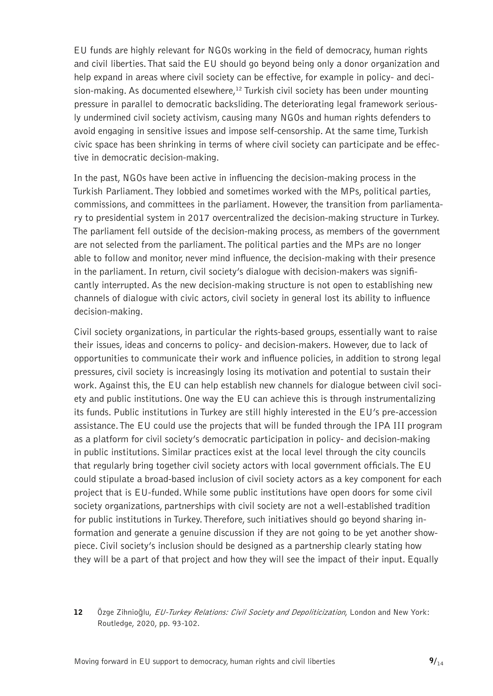EU funds are highly relevant for NGOs working in the field of democracy, human rights and civil liberties. That said the EU should go beyond being only a donor organization and help expand in areas where civil society can be effective, for example in policy- and decision-making. As documented elsewhere,<sup>12</sup> Turkish civil society has been under mounting pressure in parallel to democratic backsliding. The deteriorating legal framework seriously undermined civil society activism, causing many NGOs and human rights defenders to avoid engaging in sensitive issues and impose self-censorship. At the same time, Turkish civic space has been shrinking in terms of where civil society can participate and be effective in democratic decision-making.

In the past, NGOs have been active in influencing the decision-making process in the Turkish Parliament. They lobbied and sometimes worked with the MPs, political parties, commissions, and committees in the parliament. However, the transition from parliamentary to presidential system in 2017 overcentralized the decision-making structure in Turkey. The parliament fell outside of the decision-making process, as members of the government are not selected from the parliament. The political parties and the MPs are no longer able to follow and monitor, never mind influence, the decision-making with their presence in the parliament. In return, civil society's dialogue with decision-makers was significantly interrupted. As the new decision-making structure is not open to establishing new channels of dialogue with civic actors, civil society in general lost its ability to influence decision-making.

Civil society organizations, in particular the rights-based groups, essentially want to raise their issues, ideas and concerns to policy- and decision-makers. However, due to lack of opportunities to communicate their work and influence policies, in addition to strong legal pressures, civil society is increasingly losing its motivation and potential to sustain their work. Against this, the EU can help establish new channels for dialogue between civil society and public institutions. One way the EU can achieve this is through instrumentalizing its funds. Public institutions in Turkey are still highly interested in the EU's pre-accession assistance. The EU could use the projects that will be funded through the IPA III program as a platform for civil society's democratic participation in policy- and decision-making in public institutions. Similar practices exist at the local level through the city councils that regularly bring together civil society actors with local government officials. The EU could stipulate a broad-based inclusion of civil society actors as a key component for each project that is EU-funded. While some public institutions have open doors for some civil society organizations, partnerships with civil society are not a well-established tradition for public institutions in Turkey. Therefore, such initiatives should go beyond sharing information and generate a genuine discussion if they are not going to be yet another showpiece. Civil society's inclusion should be designed as a partnership clearly stating how they will be a part of that project and how they will see the impact of their input. Equally

<sup>12</sup> Özge Zihnioğlu, EU-Turkey Relations: Civil Society and Depoliticization, London and New York: Routledge, 2020, pp. 93-102.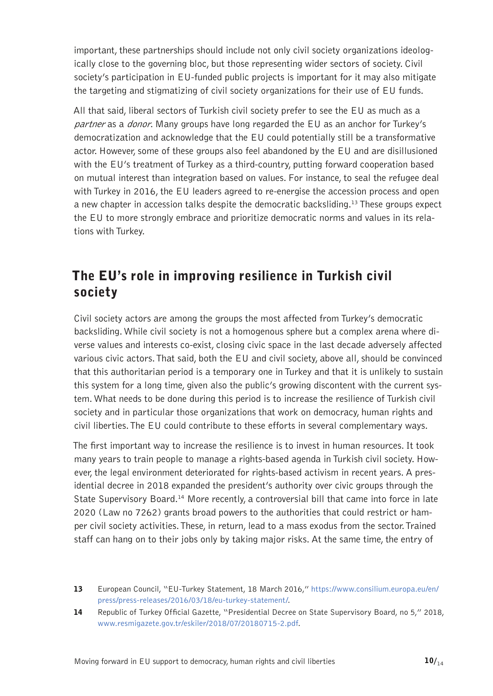<span id="page-9-0"></span>important, these partnerships should include not only civil society organizations ideologically close to the governing bloc, but those representing wider sectors of society. Civil society's participation in EU-funded public projects is important for it may also mitigate the targeting and stigmatizing of civil society organizations for their use of EU funds.

All that said, liberal sectors of Turkish civil society prefer to see the EU as much as a partner as a *donor*. Many groups have long regarded the EU as an anchor for Turkey's democratization and acknowledge that the EU could potentially still be a transformative actor. However, some of these groups also feel abandoned by the EU and are disillusioned with the EU's treatment of Turkey as a third-country, putting forward cooperation based on mutual interest than integration based on values. For instance, to seal the refugee deal with Turkey in 2016, the EU leaders agreed to re-energise the accession process and open a new chapter in accession talks despite the democratic backsliding.<sup>13</sup> These groups expect the EU to more strongly embrace and prioritize democratic norms and values in its relations with Turkey.

#### The EU's role in improving resilience in Turkish civil society

Civil society actors are among the groups the most affected from Turkey's democratic backsliding. While civil society is not a homogenous sphere but a complex arena where diverse values and interests co-exist, closing civic space in the last decade adversely affected various civic actors. That said, both the EU and civil society, above all, should be convinced that this authoritarian period is a temporary one in Turkey and that it is unlikely to sustain this system for a long time, given also the public's growing discontent with the current system. What needs to be done during this period is to increase the resilience of Turkish civil society and in particular those organizations that work on democracy, human rights and civil liberties. The EU could contribute to these efforts in several complementary ways.

The first important way to increase the resilience is to invest in human resources. It took many years to train people to manage a rights-based agenda in Turkish civil society. However, the legal environment deteriorated for rights-based activism in recent years. A presidential decree in 2018 expanded the president's authority over civic groups through the State Supervisory Board.<sup>14</sup> More recently, a controversial bill that came into force in late 2020 (Law no 7262) grants broad powers to the authorities that could restrict or hamper civil society activities. These, in return, lead to a mass exodus from the sector. Trained staff can hang on to their jobs only by taking major risks. At the same time, the entry of

<sup>13</sup> European Council, "EU-Turkey Statement, 18 March 2016," https://www.consilium.europa.eu/en/ press/press-releases/2016/03/18/eu-turkey-statement/.

<sup>14</sup> Republic of Turkey Official Gazette, "Presidential Decree on State Supervisory Board, no 5," 2018, www.resmigazete.gov.tr/eskiler/2018/07/20180715-2.pdf.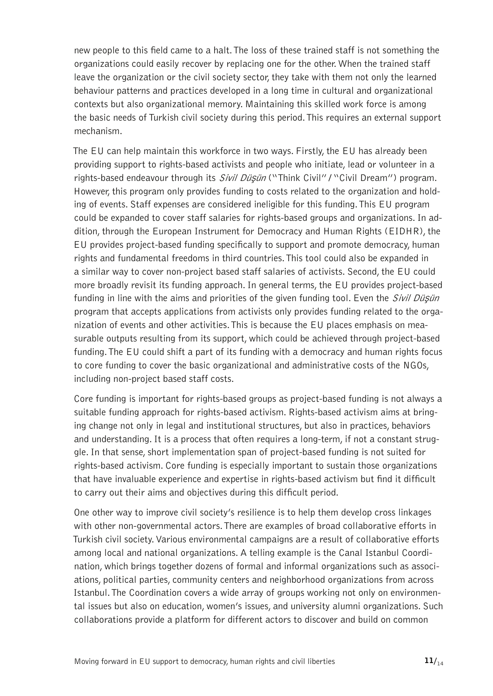new people to this field came to a halt. The loss of these trained staff is not something the organizations could easily recover by replacing one for the other. When the trained staff leave the organization or the civil society sector, they take with them not only the learned behaviour patterns and practices developed in a long time in cultural and organizational contexts but also organizational memory. Maintaining this skilled work force is among the basic needs of Turkish civil society during this period. This requires an external support mechanism.

The EU can help maintain this workforce in two ways. Firstly, the EU has already been providing support to rights-based activists and people who initiate, lead or volunteer in a rights-based endeavour through its *Sivil Düsün* ("Think Civil" / "Civil Dream") program. However, this program only provides funding to costs related to the organization and holding of events. Staff expenses are considered ineligible for this funding. This EU program could be expanded to cover staff salaries for rights-based groups and organizations. In addition, through the European Instrument for Democracy and Human Rights (EIDHR), the EU provides project-based funding specifically to support and promote democracy, human rights and fundamental freedoms in third countries. This tool could also be expanded in a similar way to cover non-project based staff salaries of activists. Second, the EU could more broadly revisit its funding approach. In general terms, the EU provides project-based funding in line with the aims and priorities of the given funding tool. Even the *Sivil Düşün* program that accepts applications from activists only provides funding related to the organization of events and other activities. This is because the EU places emphasis on measurable outputs resulting from its support, which could be achieved through project-based funding. The EU could shift a part of its funding with a democracy and human rights focus to core funding to cover the basic organizational and administrative costs of the NGOs, including non-project based staff costs.

Core funding is important for rights-based groups as project-based funding is not always a suitable funding approach for rights-based activism. Rights-based activism aims at bringing change not only in legal and institutional structures, but also in practices, behaviors and understanding. It is a process that often requires a long-term, if not a constant struggle. In that sense, short implementation span of project-based funding is not suited for rights-based activism. Core funding is especially important to sustain those organizations that have invaluable experience and expertise in rights-based activism but find it difficult to carry out their aims and objectives during this difficult period.

One other way to improve civil society's resilience is to help them develop cross linkages with other non-governmental actors. There are examples of broad collaborative efforts in Turkish civil society. Various environmental campaigns are a result of collaborative efforts among local and national organizations. A telling example is the Canal Istanbul Coordination, which brings together dozens of formal and informal organizations such as associations, political parties, community centers and neighborhood organizations from across Istanbul. The Coordination covers a wide array of groups working not only on environmental issues but also on education, women's issues, and university alumni organizations. Such collaborations provide a platform for different actors to discover and build on common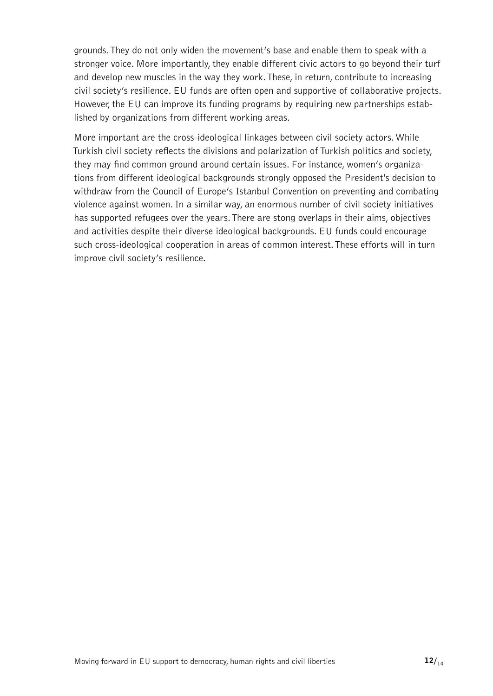grounds. They do not only widen the movement's base and enable them to speak with a stronger voice. More importantly, they enable different civic actors to go beyond their turf and develop new muscles in the way they work. These, in return, contribute to increasing civil society's resilience. EU funds are often open and supportive of collaborative projects. However, the EU can improve its funding programs by requiring new partnerships established by organizations from different working areas.

More important are the cross-ideological linkages between civil society actors. While Turkish civil society reflects the divisions and polarization of Turkish politics and society, they may find common ground around certain issues. For instance, women's organizations from different ideological backgrounds strongly opposed the President's decision to withdraw from the Council of Europe's Istanbul Convention on preventing and combating violence against women. In a similar way, an enormous number of civil society initiatives has supported refugees over the years. There are stong overlaps in their aims, objectives and activities despite their diverse ideological backgrounds. EU funds could encourage such cross-ideological cooperation in areas of common interest. These efforts will in turn improve civil society's resilience.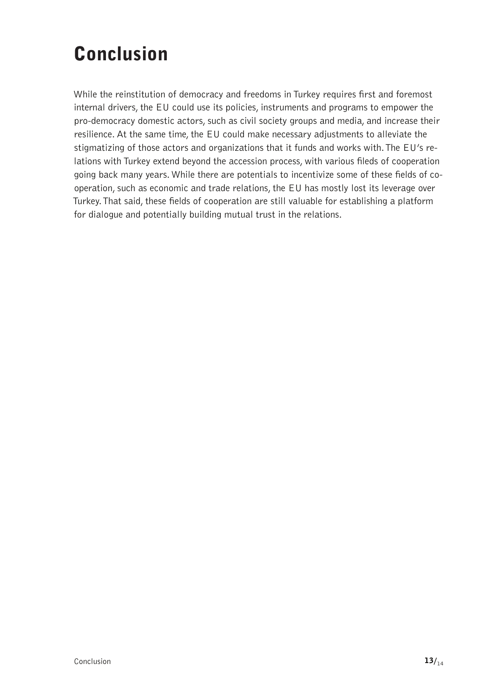## <span id="page-12-0"></span>Conclusion

While the reinstitution of democracy and freedoms in Turkey requires first and foremost internal drivers, the EU could use its policies, instruments and programs to empower the pro-democracy domestic actors, such as civil society groups and media, and increase their resilience. At the same time, the EU could make necessary adjustments to alleviate the stigmatizing of those actors and organizations that it funds and works with. The EU's relations with Turkey extend beyond the accession process, with various fileds of cooperation going back many years. While there are potentials to incentivize some of these fields of cooperation, such as economic and trade relations, the EU has mostly lost its leverage over Turkey. That said, these fields of cooperation are still valuable for establishing a platform for dialogue and potentially building mutual trust in the relations.